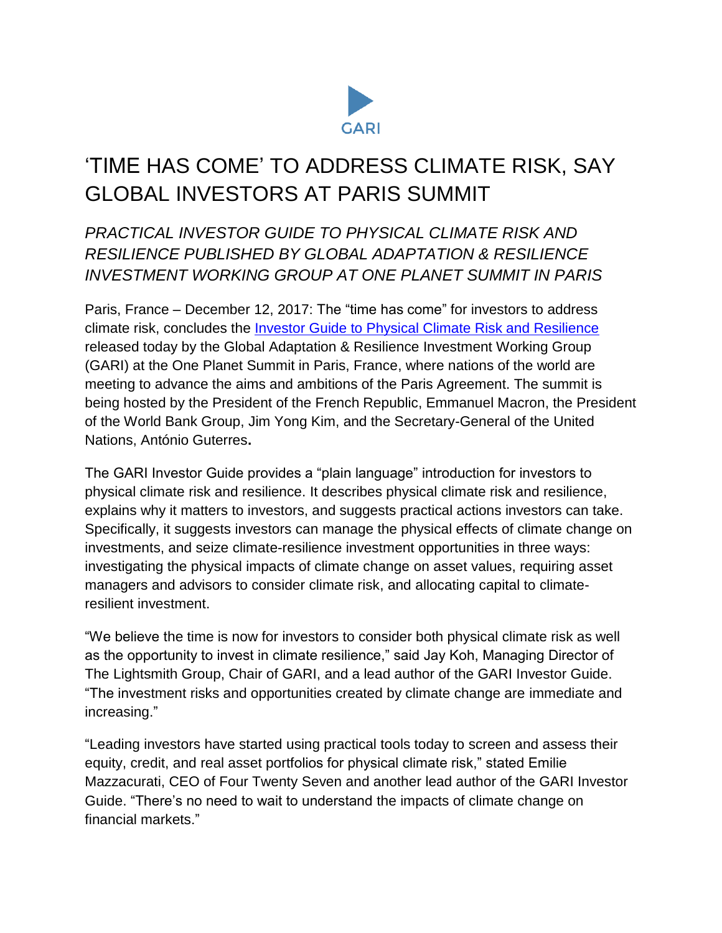

# 'TIME HAS COME' TO ADDRESS CLIMATE RISK, SAY GLOBAL INVESTORS AT PARIS SUMMIT

## *PRACTICAL INVESTOR GUIDE TO PHYSICAL CLIMATE RISK AND RESILIENCE PUBLISHED BY GLOBAL ADAPTATION & RESILIENCE INVESTMENT WORKING GROUP AT ONE PLANET SUMMIT IN PARIS*

Paris, France – December 12, 2017: The "time has come" for investors to address climate risk, concludes the [Investor Guide to Physical Climate Risk and Resilience](https://garigroup.com/investor-guide) released today by the Global Adaptation & Resilience Investment Working Group (GARI) at the One Planet Summit in Paris, France, where nations of the world are meeting to advance the aims and ambitions of the Paris Agreement. The summit is being hosted by the President of the French Republic, Emmanuel Macron, the President of the World Bank Group, Jim Yong Kim, and the Secretary-General of the United Nations, António Guterres**.**

The GARI Investor Guide provides a "plain language" introduction for investors to physical climate risk and resilience. It describes physical climate risk and resilience, explains why it matters to investors, and suggests practical actions investors can take. Specifically, it suggests investors can manage the physical effects of climate change on investments, and seize climate-resilience investment opportunities in three ways: investigating the physical impacts of climate change on asset values, requiring asset managers and advisors to consider climate risk, and allocating capital to climateresilient investment.

"We believe the time is now for investors to consider both physical climate risk as well as the opportunity to invest in climate resilience," said Jay Koh, Managing Director of The Lightsmith Group, Chair of GARI, and a lead author of the GARI Investor Guide. "The investment risks and opportunities created by climate change are immediate and increasing."

"Leading investors have started using practical tools today to screen and assess their equity, credit, and real asset portfolios for physical climate risk," stated Emilie Mazzacurati, CEO of Four Twenty Seven and another lead author of the GARI Investor Guide. "There's no need to wait to understand the impacts of climate change on financial markets."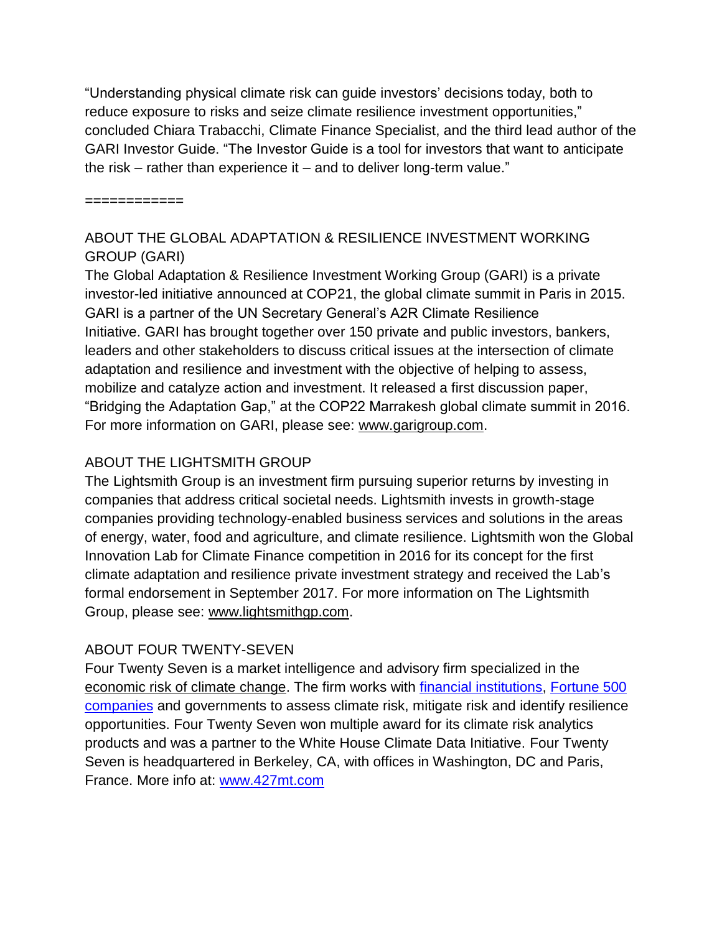"Understanding physical climate risk can guide investors' decisions today, both to reduce exposure to risks and seize climate resilience investment opportunities," concluded Chiara Trabacchi, Climate Finance Specialist, and the third lead author of the GARI Investor Guide. "The Investor Guide is a tool for investors that want to anticipate the risk – rather than experience it – and to deliver long-term value."

============

#### ABOUT THE GLOBAL ADAPTATION & RESILIENCE INVESTMENT WORKING GROUP (GARI)

The Global Adaptation & Resilience Investment Working Group (GARI) is a private investor-led initiative announced at COP21, the global climate summit in Paris in 2015. GARI is a partner of the UN Secretary General's A2R Climate Resilience Initiative. GARI has brought together over 150 private and public investors, bankers, leaders and other stakeholders to discuss critical issues at the intersection of climate adaptation and resilience and investment with the objective of helping to assess, mobilize and catalyze action and investment. It released a first discussion paper, "Bridging the Adaptation Gap," at the COP22 Marrakesh global climate summit in 2016. For more information on GARI, please see: [www.garigroup.com.](http://www.garigroup.com/)

### ABOUT THE LIGHTSMITH GROUP

The Lightsmith Group is an investment firm pursuing superior returns by investing in companies that address critical societal needs. Lightsmith invests in growth-stage companies providing technology-enabled business services and solutions in the areas of energy, water, food and agriculture, and climate resilience. Lightsmith won the Global Innovation Lab for Climate Finance competition in 2016 for its concept for the first climate adaptation and resilience private investment strategy and received the Lab's formal endorsement in September 2017. For more information on The Lightsmith Group, please see: [www.lightsmithgp.com.](https://www.lightsmithgp.com/)

#### ABOUT FOUR TWENTY-SEVEN

Four Twenty Seven is a market intelligence and advisory firm specialized in the [economic risk of climate change.](http://427mt.com/our-solutions/) The firm works with [financial institutions,](http://427mt.com/clients/financial-institutions/) [Fortune 500](http://427mt.com/clients/industry/)  [companies](http://427mt.com/clients/industry/) and governments to assess climate risk, mitigate risk and identify resilience opportunities. Four Twenty Seven won multiple award for its climate risk analytics products and was a partner to the White House Climate Data Initiative. Four Twenty Seven is headquartered in Berkeley, CA, with offices in Washington, DC and Paris, France. More info at: [www.427mt.com](http://www.427mt.com/)